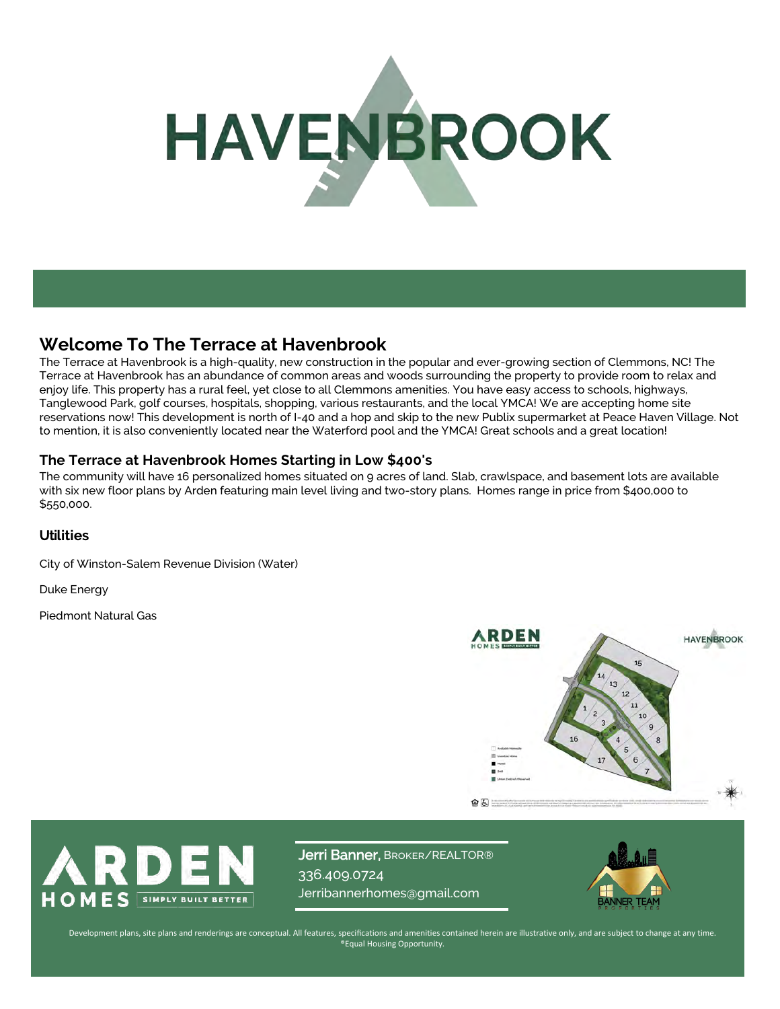# HAVENBROOK

# **Welcome To The Terrace at Havenbrook**

The Terrace at Havenbrook is a high-quality, new construction in the popular and ever-growing section of Clemmons, NC! The Terrace at Havenbrook has an abundance of common areas and woods surrounding the property to provide room to relax and enjoy life. This property has a rural feel, yet close to all Clemmons amenities. You have easy access to schools, highways, Tanglewood Park, golf courses, hospitals, shopping, various restaurants, and the local YMCA! We are accepting home site reservations now! This development is north of I-40 and a hop and skip to the new Publix supermarket at Peace Haven Village. Not to mention, it is also conveniently located near the Waterford pool and the YMCA! Great schools and a great location!

#### **The Terrace at Havenbrook Homes Starting in Low \$400's**

The community will have 16 personalized homes situated on 9 acres of land. Slab, crawlspace, and basement lots are available with six new floor plans by Arden featuring main level living and two-story plans. Homes range in price from \$400,000 to \$550,000.

#### **Utilities**

City of Winston-Salem Revenue Division (Water)

Duke Energy

Piedmont Natural Gas





Jerri Banner, BROKER/REALTOR® 336.409.0724 Jerribannerhomes@gmail.com



Development plans, site plans and renderings are conceptual. All features, specifications and amenities contained herein are illustrative only, and are subject to change at any time. ®Equal Housing Opportunity.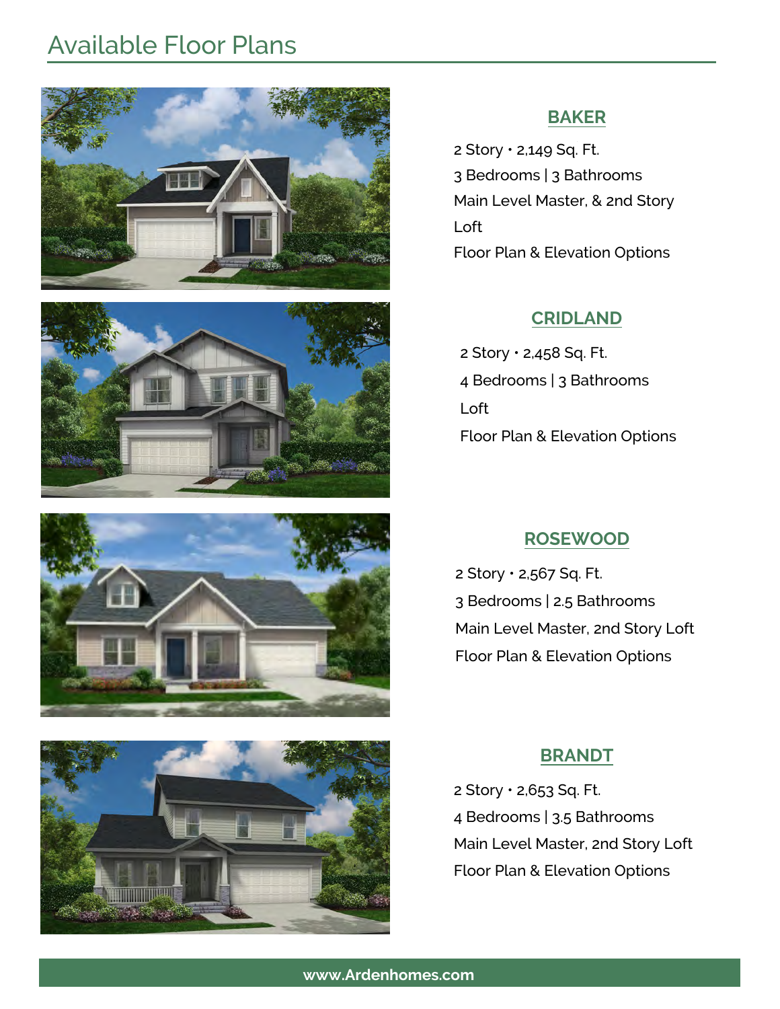# Available Floor Plans









# **BAKER**

2 Story • 2,149 Sq. Ft. 3 Bedrooms | 3 Bathrooms Main Level Master, & 2nd Story Loft Floor Plan & Elevation Options

# **CRIDLAND**

2 Story • 2,458 Sq. Ft. 4 Bedrooms | 3 Bathrooms Loft Floor Plan & Elevation Options

# **ROSEWOOD**

2 Story • 2,567 Sq. Ft. 3 Bedrooms | 2.5 Bathrooms Main Level Master, 2nd Story Loft Floor Plan & Elevation Options

# **BRANDT**

2 Story • 2,653 Sq. Ft. 4 Bedrooms | 3.5 Bathrooms Main Level Master, 2nd Story Loft Floor Plan & Elevation Options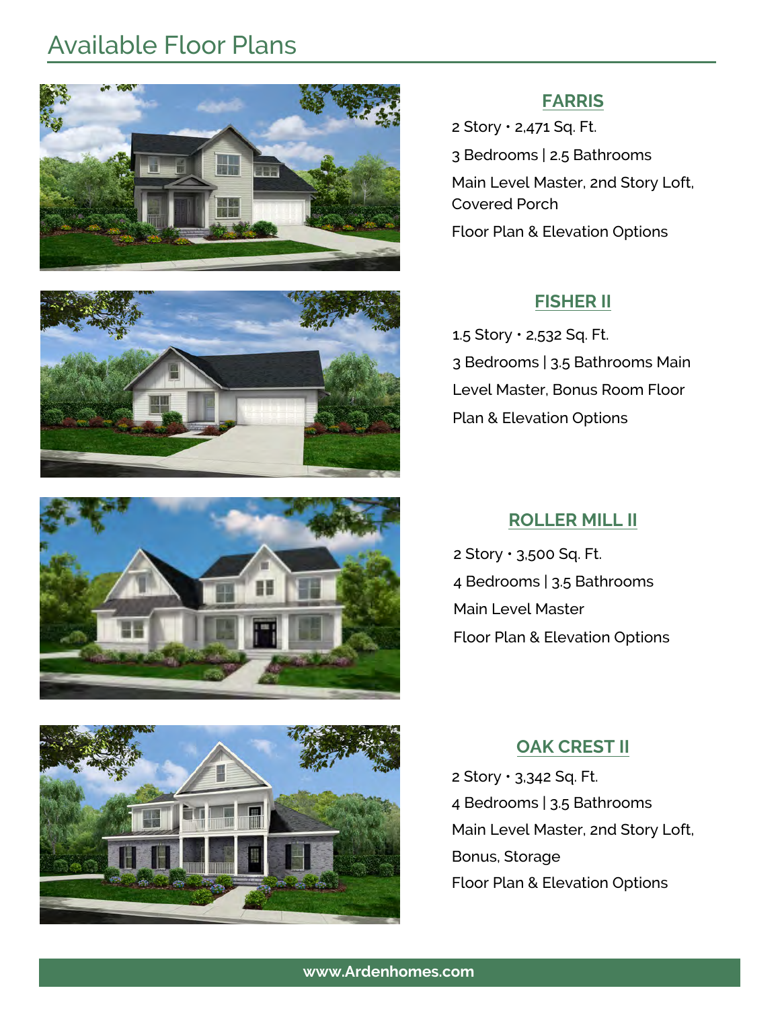# Available Floor Plans









## **FARRIS**

2 Story • 2,471 Sq. Ft. 3 Bedrooms | 2.5 Bathrooms Main Level Master, 2nd Story Loft, Covered Porch Floor Plan & Elevation Options

# **FISHER II**

1.5 Story • 2,532 Sq. Ft. 3 Bedrooms | 3.5 Bathrooms Main Level Master, Bonus Room Floor Plan & Elevation Options

# **ROLLER MILL II**

2 Story • 3,500 Sq. Ft. 4 Bedrooms | 3.5 Bathrooms Main Level Master Floor Plan & Elevation Options

# **OAK CREST II**

2 Story • 3,342 Sq. Ft. 4 Bedrooms | 3.5 Bathrooms Main Level Master, 2nd Story Loft, Bonus, Storage Floor Plan & Elevation Options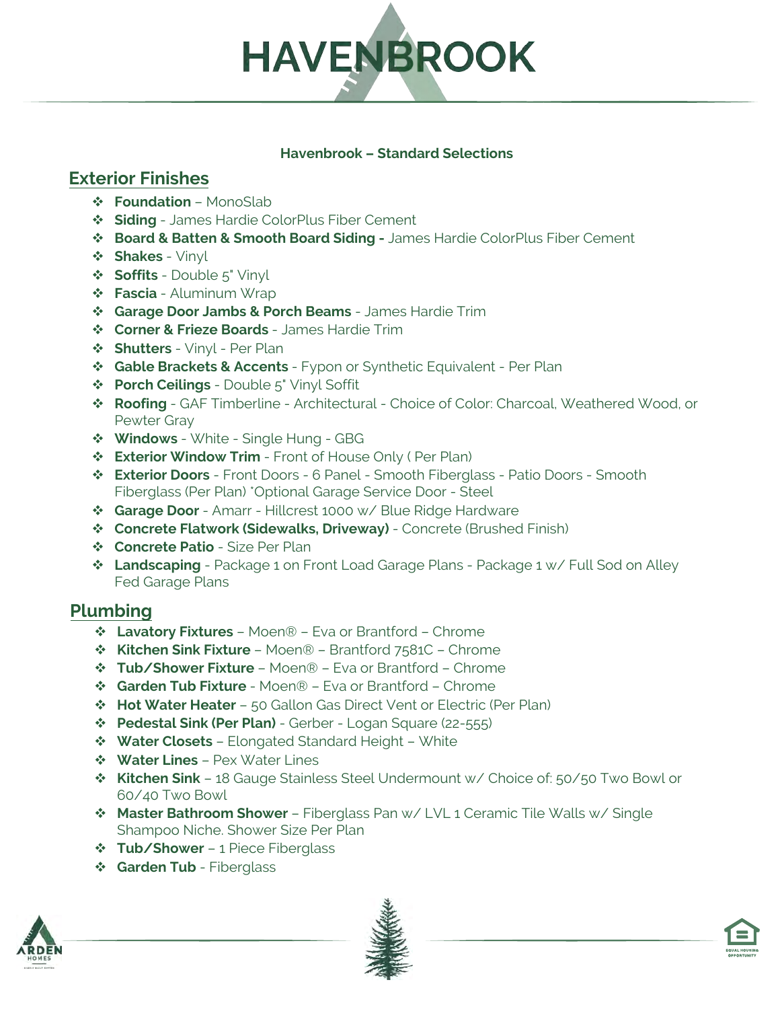

#### **Havenbrook – Standard Selections**

# **Exterior Finishes**

- **Foundation**  MonoSlab
- **Siding**  James Hardie ColorPlus Fiber Cement
- **Board & Batten & Smooth Board Siding** James Hardie ColorPlus Fiber Cement
- **Shakes**  Vinyl
- **Soffits** Double 5" Vinyl
- **Fascia**  Aluminum Wrap
- **Garage Door Jambs & Porch Beams** James Hardie Trim
- **Corner & Frieze Boards**  James Hardie Trim
- **Shutters**  Vinyl Per Plan
- **Gable Brackets & Accents**  Fypon or Synthetic Equivalent Per Plan
- **Porch Ceilings**  Double 5" Vinyl Soffit
- **Roofing**  GAF Timberline Architectural Choice of Color: Charcoal, Weathered Wood, or Pewter Gray
- **Windows** White Single Hung GBG
- **Exterior Window Trim**  Front of House Only ( Per Plan)
- **Exterior Doors** Front Doors 6 Panel Smooth Fiberglass Patio Doors Smooth Fiberglass (Per Plan) \*Optional Garage Service Door - Steel
- **Garage Door**  Amarr Hillcrest 1000 w/ Blue Ridge Hardware
- **Concrete Flatwork (Sidewalks, Driveway)**  Concrete (Brushed Finish)
- **Concrete Patio** Size Per Plan
- **Landscaping** Package 1 on Front Load Garage Plans Package 1 w/ Full Sod on Alley Fed Garage Plans

## **Plumbing**

- **Lavatory Fixtures** Moen® Eva or Brantford Chrome
- **Kitchen Sink Fixture**  Moen® Brantford 7581C Chrome
- **Tub/Shower Fixture**  Moen® Eva or Brantford Chrome
- **Garden Tub Fixture**  Moen® Eva or Brantford Chrome
- **Hot Water Heater**  50 Gallon Gas Direct Vent or Electric (Per Plan)
- **Pedestal Sink (Per Plan)** Gerber Logan Square (22-555)
- **Water Closets**  Elongated Standard Height White
- **Water Lines** Pex Water Lines
- **Kitchen Sink** 18 Gauge Stainless Steel Undermount w/ Choice of: 50/50 Two Bowl or 60/40 Two Bowl
- **Master Bathroom Shower**  Fiberglass Pan w/ LVL 1 Ceramic Tile Walls w/ Single Shampoo Niche. Shower Size Per Plan
- **\*** Tub/Shower 1 Piece Fiberglass
- **Garden Tub Fiberglass**





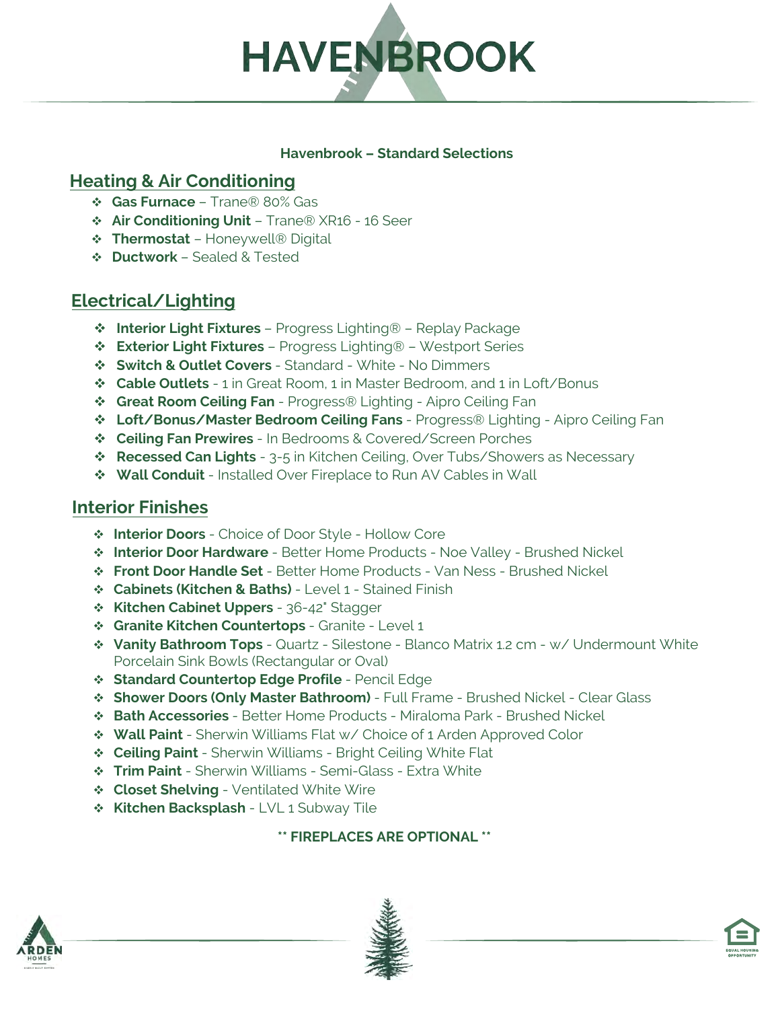

#### **Havenbrook – Standard Selections**

# **Heating & Air Conditioning**

- **Gas Furnace**  Trane® 80% Gas
- **Air Conditioning Unit** Trane® XR16 16 Seer
- **Thermostat** Honeywell® Digital
- **Ductwork**  Sealed & Tested

# **Electrical/Lighting**

- **Interior Light Fixtures**  Progress Lighting® Replay Package
- **Exterior Light Fixtures** Progress Lighting® Westport Series
- **Switch & Outlet Covers**  Standard White No Dimmers
- **Cable Outlets** 1 in Great Room, 1 in Master Bedroom, and 1 in Loft/Bonus
- **Great Room Ceiling Fan**  Progress® Lighting Aipro Ceiling Fan
- **Loft/Bonus/Master Bedroom Ceiling Fans**  Progress® Lighting Aipro Ceiling Fan
- **Ceiling Fan Prewires** In Bedrooms & Covered/Screen Porches
- **Recessed Can Lights** 3-5 in Kitchen Ceiling, Over Tubs/Showers as Necessary
- **Wall Conduit**  Installed Over Fireplace to Run AV Cables in Wall

# **Interior Finishes**

- **Interior Doors**  Choice of Door Style Hollow Core
- **Interior Door Hardware**  Better Home Products Noe Valley Brushed Nickel
- **Front Door Handle Set**  Better Home Products Van Ness Brushed Nickel
- **Cabinets (Kitchen & Baths)**  Level 1 Stained Finish
- **Kitchen Cabinet Uppers**  36-42" Stagger
- **Granite Kitchen Countertops**  Granite Level 1
- **Vanity Bathroom Tops**  Quartz Silestone Blanco Matrix 1.2 cm w/ Undermount White Porcelain Sink Bowls (Rectangular or Oval)
- **Standard Countertop Edge Profile**  Pencil Edge
- **Shower Doors (Only Master Bathroom)**  Full Frame Brushed Nickel Clear Glass
- **Bath Accessories**  Better Home Products Miraloma Park Brushed Nickel
- **Wall Paint**  Sherwin Williams Flat w/ Choice of 1 Arden Approved Color
- **Ceiling Paint**  Sherwin Williams Bright Ceiling White Flat
- **Trim Paint** Sherwin Williams Semi-Glass Extra White
- **Closet Shelving** Ventilated White Wire
- **Kitchen Backsplash LVL 1 Subway Tile**

#### **\*\* FIREPLACES ARE OPTIONAL \*\***





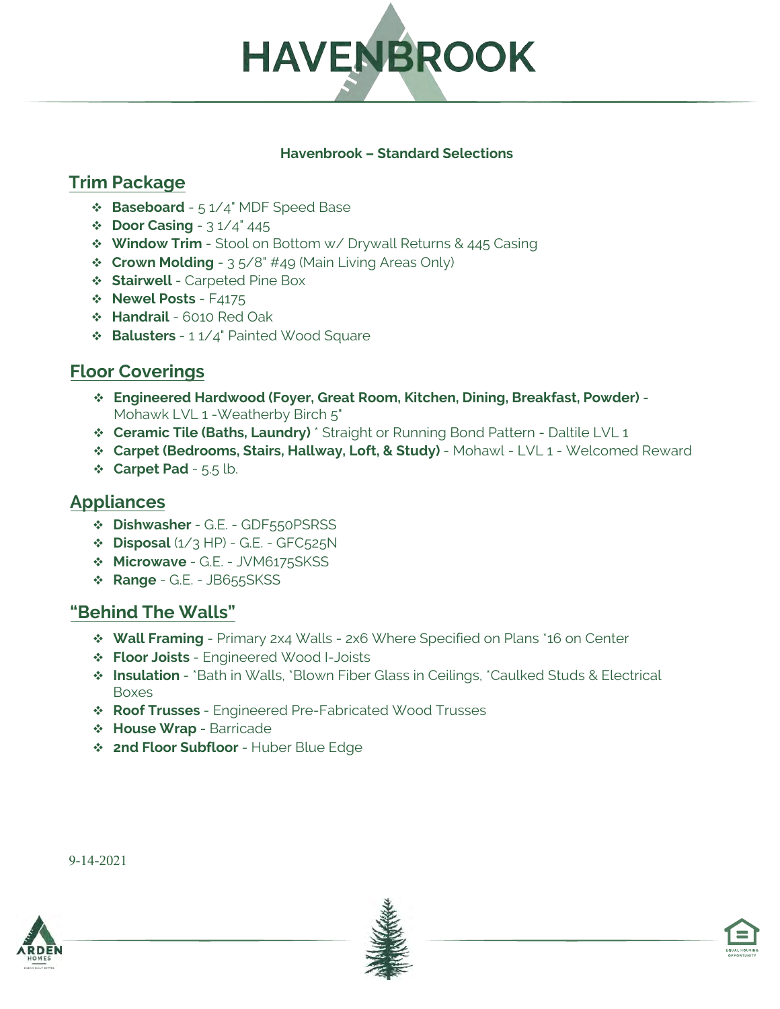

#### **Havenbrook – Standard Selections**

# **Trim Package**

- **Baseboard** 5 1/4" MDF Speed Base
- **Door Casing** 3 1/4" 445
- **Window Trim** Stool on Bottom w/ Drywall Returns & 445 Casing
- **Crown Molding** 3 5/8" #49 (Main Living Areas Only)
- **Stairwell** Carpeted Pine Box
- **Newel Posts F4175**
- **Handrail** 6010 Red Oak
- **Balusters**  1 1/4" Painted Wood Square

# **Floor Coverings**

- **Engineered Hardwood (Foyer, Great Room, Kitchen, Dining, Breakfast, Powder)**  Mohawk LVL 1 - Weatherby Birch 5"
- **Ceramic Tile (Baths, Laundry)** \* Straight or Running Bond Pattern Daltile LVL 1
- **Carpet (Bedrooms, Stairs, Hallway, Loft, & Study)**  Mohawl LVL 1 Welcomed Reward
- **Carpet Pad**  5.5 lb.

# **Appliances**

- **Dishwasher**  G.E. GDF550PSRSS
- **Disposal** (1/3 HP) G.E. GFC525N
- **Microwave**  G.E. JVM6175SKSS
- **Range** G.E. JB655SKSS

# **"Behind The Walls"**

- **Wall Framing** Primary 2x4 Walls 2x6 Where Specified on Plans \*16 on Center
- **Floor Joists**  Engineered Wood I-Joists
- **Insulation**  \*Bath in Walls, \*Blown Fiber Glass in Ceilings, \*Caulked Studs & Electrical Boxes
- **Roof Trusses**  Engineered Pre-Fabricated Wood Trusses
- **House Wrap**  Barricade
- **2nd Floor Subfloor**  Huber Blue Edge







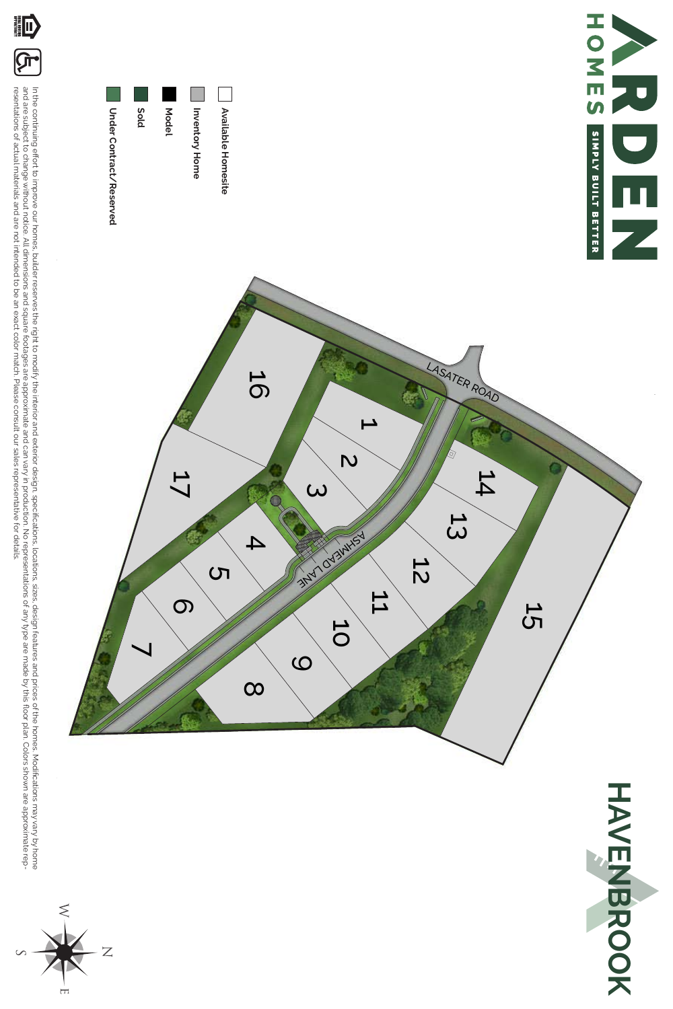











HAVENBOOK